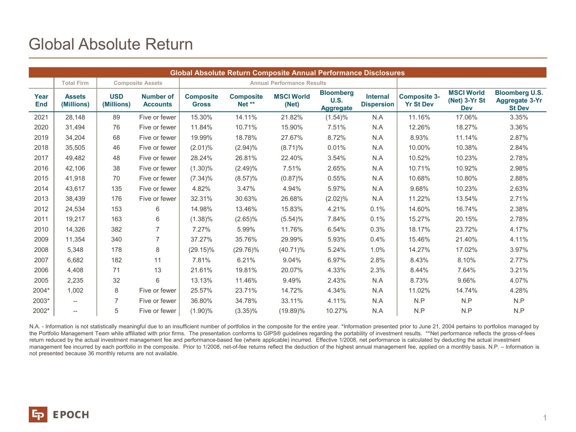## Global Absolute Return

| Global Absolute Return Composite Annual Performance Disclosures |                             |                          |                                     |                                   |                            |                            |                                              |                                      |                                         |                                                  |                                                                 |
|-----------------------------------------------------------------|-----------------------------|--------------------------|-------------------------------------|-----------------------------------|----------------------------|----------------------------|----------------------------------------------|--------------------------------------|-----------------------------------------|--------------------------------------------------|-----------------------------------------------------------------|
|                                                                 | <b>Total Firm</b>           |                          | <b>Composite Assets</b>             | <b>Annual Performance Results</b> |                            |                            |                                              |                                      |                                         |                                                  |                                                                 |
| Year<br><b>End</b>                                              | <b>Assets</b><br>(Millions) | <b>USD</b><br>(Millions) | <b>Number of</b><br><b>Accounts</b> | <b>Composite</b><br><b>Gross</b>  | <b>Composite</b><br>Net ** | <b>MSCI World</b><br>(Net) | <b>Bloomberg</b><br>U.S.<br><b>Aggregate</b> | <b>Internal</b><br><b>Dispersion</b> | <b>Composite 3-</b><br><b>Yr St Dev</b> | <b>MSCI World</b><br>(Net) 3-Yr St<br><b>Dev</b> | <b>Bloomberg U.S.</b><br><b>Aggregate 3-Yr</b><br><b>St Dev</b> |
| 2021                                                            | 28,148                      | 89                       | Five or fewer                       | 15.30%                            | 14.11%                     | 21.82%                     | $(1.54)\%$                                   | N.A                                  | 11.16%                                  | 17.06%                                           | 3.35%                                                           |
| 2020                                                            | 31,494                      | 76                       | Five or fewer                       | 11.84%                            | 10.71%                     | 15.90%                     | 7.51%                                        | N.A                                  | 12.26%                                  | 18.27%                                           | 3.36%                                                           |
| 2019                                                            | 34,204                      | 68                       | Five or fewer                       | 19.99%                            | 18.78%                     | 27.67%                     | 8.72%                                        | N.A                                  | 8.93%                                   | 11.14%                                           | 2.87%                                                           |
| 2018                                                            | 35,505                      | 46                       | Five or fewer                       | $(2.01)\%$                        | (2.94)%                    | $(8.71)\%$                 | 0.01%                                        | N.A                                  | 10.00%                                  | 10.38%                                           | 2.84%                                                           |
| 2017                                                            | 49,482                      | 48                       | Five or fewer                       | 28.24%                            | 26.81%                     | 22.40%                     | 3.54%                                        | N.A                                  | 10.52%                                  | 10.23%                                           | 2.78%                                                           |
| 2016                                                            | 42.106                      | 38                       | Five or fewer                       | $(1.30)\%$                        | (2.49)%                    | 7.51%                      | 2.65%                                        | N.A                                  | 10.71%                                  | 10.92%                                           | 2.98%                                                           |
| 2015                                                            | 41,918                      | 70                       | Five or fewer                       | $(7.34)\%$                        | $(8.57)\%$                 | (0.87)%                    | 0.55%                                        | N.A                                  | 10.68%                                  | 10.80%                                           | 2.88%                                                           |
| 2014                                                            | 43,617                      | 135                      | Five or fewer                       | 4.82%                             | 3.47%                      | 4.94%                      | 5.97%                                        | N.A                                  | 9.68%                                   | 10.23%                                           | 2.63%                                                           |
| 2013                                                            | 38,439                      | 176                      | Five or fewer                       | 32.31%                            | 30.63%                     | 26.68%                     | (2.02)%                                      | N.A                                  | 11.22%                                  | 13.54%                                           | 2.71%                                                           |
| 2012                                                            | 24,534                      | 153                      | 6                                   | 14.98%                            | 13.46%                     | 15.83%                     | 4.21%                                        | 0.1%                                 | 14.60%                                  | 16.74%                                           | 2.38%                                                           |
| 2011                                                            | 19,217                      | 163                      | 6                                   | $(1.38)\%$                        | $(2.65)\%$                 | $(5.54)\%$                 | 7.84%                                        | 0.1%                                 | 15.27%                                  | 20.15%                                           | 2.78%                                                           |
| 2010                                                            | 14,326                      | 382                      | $\overline{7}$                      | 7.27%                             | 5.99%                      | 11.76%                     | 6.54%                                        | 0.3%                                 | 18.17%                                  | 23.72%                                           | 4.17%                                                           |
| 2009                                                            | 11,354                      | 340                      | 7                                   | 37.27%                            | 35.76%                     | 29.99%                     | 5.93%                                        | 0.4%                                 | 15.46%                                  | 21.40%                                           | 4.11%                                                           |
| 2008                                                            | 5,348                       | 178                      | 8                                   | $(29.15)\%$                       | $(29.76)\%$                | $(40.71)\%$                | 5.24%                                        | 1.0%                                 | 14.27%                                  | 17.02%                                           | 3.97%                                                           |
| 2007                                                            | 6.682                       | 182                      | 11                                  | 7.81%                             | 6.21%                      | 9.04%                      | 6.97%                                        | 2.8%                                 | 8.43%                                   | 8.10%                                            | 2.77%                                                           |
| 2006                                                            | 4,408                       | 71                       | 13                                  | 21.61%                            | 19.81%                     | 20.07%                     | 4.33%                                        | 2.3%                                 | 8.44%                                   | 7.64%                                            | 3.21%                                                           |
| 2005                                                            | 2,235                       | 32                       | 6                                   | 13.13%                            | 11.46%                     | 9.49%                      | 2.43%                                        | N.A                                  | 8.73%                                   | 9.66%                                            | 4.07%                                                           |
| 2004*                                                           | 1,002                       | 8                        | Five or fewer                       | 25.57%                            | 23.71%                     | 14.72%                     | 4.34%                                        | N.A                                  | 11.02%                                  | 14.74%                                           | 4.28%                                                           |
| 2003*                                                           | $\hspace{0.05cm} \ldots$    | 7                        | Five or fewer                       | 36.80%                            | 34.78%                     | 33.11%                     | 4.11%                                        | N.A                                  | N.P                                     | N.P                                              | N.P                                                             |
| 2002*                                                           | $\overline{\phantom{a}}$    | 5                        | Five or fewer                       | $(1.90)\%$                        | $(3.35)\%$                 | $(19.89)\%$                | 10.27%                                       | N.A                                  | N.P                                     | N.P                                              | N.P                                                             |

N.A. - Information is not statistically meaningful due to an insufficient number of portfolios in the composite for the entire year. \*Information presented prior to June 21, 2004 pertains to portfolios managed by the Portfolio Management Team while affiliated with prior firms. The presentation conforms to GIPS® guidelines regarding the portability of investment results. \*\*Net performance reflects the gross-of-fees return reduced by the actual investment management fee and performance-based fee (where applicable) incurred. Effective 1/2008, net performance is calculated by deducting the actual investment management fee incurred by each portfolio in the composite. Prior to 1/2008, net-of-fee returns reflect the deduction of the highest annual management fee, applied on a monthly basis. N.P. – Information is not presented because 36 monthly returns are not available.

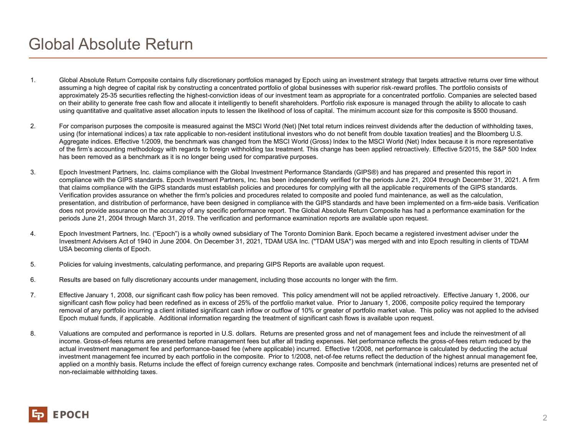## Global Absolute Return

- 1. Global Absolute Return Composite contains fully discretionary portfolios managed by Epoch using an investment strategy that targets attractive returns over time without assuming a high degree of capital risk by constructing a concentrated portfolio of global businesses with superior risk-reward profiles. The portfolio consists of approximately 25-35 securities reflecting the highest-conviction ideas of our investment team as appropriate for a concentrated portfolio. Companies are selected based on their ability to generate free cash flow and allocate it intelligently to benefit shareholders. Portfolio risk exposure is managed through the ability to allocate to cash using quantitative and qualitative asset allocation inputs to lessen the likelihood of loss of capital. The minimum account size for this composite is \$500 thousand.
- 2. For comparison purposes the composite is measured against the MSCI World (Net) [Net total return indices reinvest dividends after the deduction of withholding taxes, using (for international indices) a tax rate applicable to non-resident institutional investors who do not benefit from double taxation treaties] and the Bloomberg U.S. Aggregate indices. Effective 1/2009, the benchmark was changed from the MSCI World (Gross) Index to the MSCI World (Net) Index because it is more representative of the firm's accounting methodology with regards to foreign withholding tax treatment. This change has been applied retroactively. Effective 5/2015, the S&P 500 Index has been removed as a benchmark as it is no longer being used for comparative purposes.
- 3. Epoch Investment Partners, Inc. claims compliance with the Global Investment Performance Standards (GIPS®) and has prepared and presented this report in compliance with the GIPS standards. Epoch Investment Partners, Inc. has been independently verified for the periods June 21, 2004 through December 31, 2021. A firm that claims compliance with the GIPS standards must establish policies and procedures for complying with all the applicable requirements of the GIPS standards. Verification provides assurance on whether the firm's policies and procedures related to composite and pooled fund maintenance, as well as the calculation, presentation, and distribution of performance, have been designed in compliance with the GIPS standards and have been implemented on a firm-wide basis. Verification does not provide assurance on the accuracy of any specific performance report. The Global Absolute Return Composite has had a performance examination for the periods June 21, 2004 through March 31, 2019. The verification and performance examination reports are available upon request.
- 4. Epoch Investment Partners, Inc. ("Epoch") is a wholly owned subsidiary of The Toronto Dominion Bank. Epoch became a registered investment adviser under the Investment Advisers Act of 1940 in June 2004. On December 31, 2021, TDAM USA Inc. ("TDAM USA") was merged with and into Epoch resulting in clients of TDAM USA becoming clients of Epoch.
- 5. Policies for valuing investments, calculating performance, and preparing GIPS Reports are available upon request.
- 6. Results are based on fully discretionary accounts under management, including those accounts no longer with the firm.
- 7. Effective January 1, 2008, our significant cash flow policy has been removed. This policy amendment will not be applied retroactively. Effective January 1, 2006, our significant cash flow policy had been redefined as in excess of 25% of the portfolio market value. Prior to January 1, 2006, composite policy required the temporary removal of any portfolio incurring a client initiated significant cash inflow or outflow of 10% or greater of portfolio market value. This policy was not applied to the advised Epoch mutual funds, if applicable. Additional information regarding the treatment of significant cash flows is available upon request.
- 8. Valuations are computed and performance is reported in U.S. dollars. Returns are presented gross and net of management fees and include the reinvestment of all income. Gross-of-fees returns are presented before management fees but after all trading expenses. Net performance reflects the gross-of-fees return reduced by the actual investment management fee and performance-based fee (where applicable) incurred. Effective 1/2008, net performance is calculated by deducting the actual investment management fee incurred by each portfolio in the composite. Prior to 1/2008, net-of-fee returns reflect the deduction of the highest annual management fee, applied on a monthly basis. Returns include the effect of foreign currency exchange rates. Composite and benchmark (international indices) returns are presented net of non-reclaimable withholding taxes.